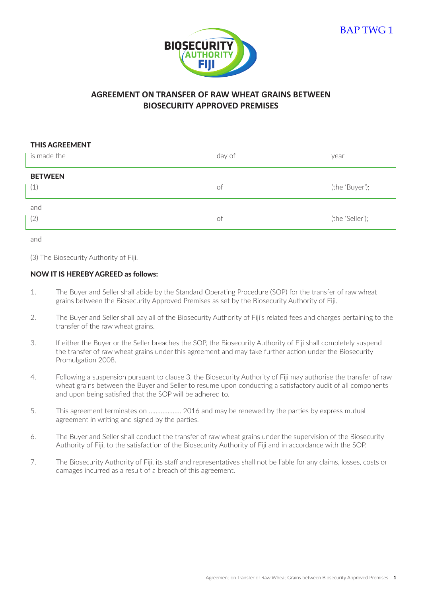

## **AGREEMENT ON TRANSFER OF RAW WHEAT GRAINS BETWEEN BIOSECURITY APPROVED PREMISES**

| <b>THIS AGREEMENT</b><br>is made the | day of | year            |
|--------------------------------------|--------|-----------------|
| <b>BETWEEN</b><br>(1)                | of     | (the 'Buyer');  |
| and<br>(2)                           | 0t     | (the 'Seller'); |

and

(3) The Biosecurity Authority of Fiji.

## NOW IT IS HEREBY AGREED as follows:

- 1. The Buyer and Seller shall abide by the Standard Operating Procedure (SOP) for the transfer of raw wheat grains between the Biosecurity Approved Premises as set by the Biosecurity Authority of Fiji.
- 2. The Buyer and Seller shall pay all of the Biosecurity Authority of Fiji's related fees and charges pertaining to the transfer of the raw wheat grains.
- 3. If either the Buyer or the Seller breaches the SOP, the Biosecurity Authority of Fiji shall completely suspend the transfer of raw wheat grains under this agreement and may take further action under the Biosecurity Promulgation 2008.
- 4. Following a suspension pursuant to clause 3, the Biosecurity Authority of Fiji may authorise the transfer of raw wheat grains between the Buyer and Seller to resume upon conducting a satisfactory audit of all components and upon being satisfied that the SOP will be adhered to.
- 5. This agreement terminates on ………………. 2016 and may be renewed by the parties by express mutual agreement in writing and signed by the parties.
- 6. The Buyer and Seller shall conduct the transfer of raw wheat grains under the supervision of the Biosecurity Authority of Fiji, to the satisfaction of the Biosecurity Authority of Fiji and in accordance with the SOP.
- 7. The Biosecurity Authority of Fiji, its staff and representatives shall not be liable for any claims, losses, costs or damages incurred as a result of a breach of this agreement.